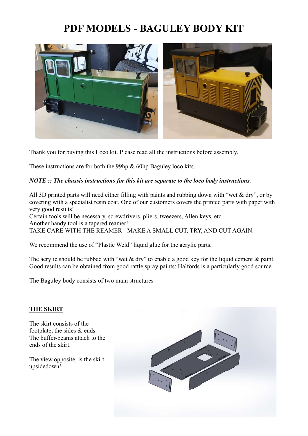## PDF MODELS - BAGULEY BODY KIT



Thank you for buying this Loco kit. Please read all the instructions before assembly.

These instructions are for both the 99hp & 60hp Baguley loco kits.

## NOTE :: The chassis instructions for this kit are separate to the loco body instructions.

All 3D printed parts will need either filling with paints and rubbing down with "wet & dry", or by covering with a specialist resin coat. One of our customers covers the printed parts with paper with very good results! Certain tools will be necessary, screwdrivers, pliers, tweezers, Allen keys, etc.

Another handy tool is a tapered reamer! TAKE CARE WITH THE REAMER - MAKE A SMALL CUT, TRY, AND CUT AGAIN.

We recommend the use of "Plastic Weld" liquid glue for the acrylic parts.

The acrylic should be rubbed with "wet & dry" to enable a good key for the liquid cement & paint. Good results can be obtained from good rattle spray paints; Halfords is a particularly good source.

The Baguley body consists of two main structures

## THE SKIRT

The skirt consists of the footplate, the sides & ends. The buffer-beams attach to the ends of the skirt.

The view opposite, is the skirt upsidedown!

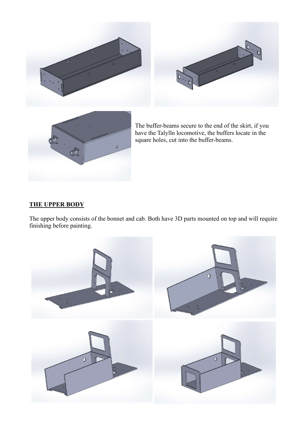





The buffer-beams secure to the end of the skirt, if you have the Talylln locomotive, the buffers locate in the square holes, cut into the buffer-beams.

## THE UPPER BODY

The upper body consists of the bonnet and cab. Both have 3D parts mounted on top and will require finishing before painting.